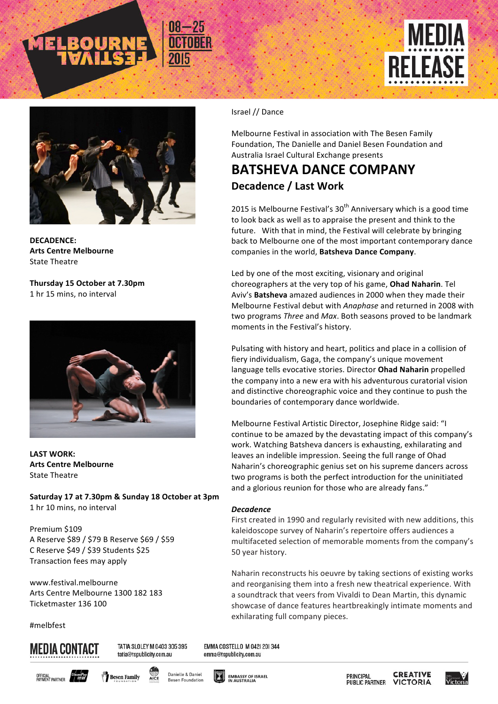



**DECADENCE: Arts Centre Melbourne State Theatre** 

**Thursday 15 October at 7.30pm** 1 hr 15 mins, no interval



**LAST WORK: Arts Centre Melbourne** State Theatre

**Saturday 17 at 7.30pm & Sunday 18 October at 3pm** 1 hr 10 mins, no interval

Premium \$109 A Reserve \$89 / \$79 B Reserve \$69 / \$59 C Reserve \$49 / \$39 Students \$25 Transaction fees may apply

www.festival.melbourne Arts Centre Melbourne 1300 182 183 Ticketmaster 136 100

#melbfest

# **MEDIA CONTACT**

TATIA SLOLEY M 0403 305 395 tatia@tspublicity.com.au

EMMA COSTELLO M 042| 20| 344 emma@tspublicity.com.au











**CREATIVE** PRINCIPAL **PUBLIC PARTNER VICTORIA** 



#### Israel // Dance

Melbourne Festival in association with The Besen Family Foundation, The Danielle and Daniel Besen Foundation and Australia Israel Cultural Exchange presents

## **BATSHEVA DANCE COMPANY** Decadence / Last Work

2015 is Melbourne Festival's  $30<sup>th</sup>$  Anniversary which is a good time to look back as well as to appraise the present and think to the future. With that in mind, the Festival will celebrate by bringing back to Melbourne one of the most important contemporary dance companies in the world, Batsheva Dance Company.

Led by one of the most exciting, visionary and original choreographers at the very top of his game, Ohad Naharin. Tel Aviv's **Batsheva** amazed audiences in 2000 when they made their Melbourne Festival debut with *Anaphase* and returned in 2008 with two programs *Three* and *Max*. Both seasons proved to be landmark moments in the Festival's history.

Pulsating with history and heart, politics and place in a collision of fiery individualism, Gaga, the company's unique movement language tells evocative stories. Director Ohad Naharin propelled the company into a new era with his adventurous curatorial vision and distinctive choreographic voice and they continue to push the boundaries of contemporary dance worldwide.

Melbourne Festival Artistic Director, Josephine Ridge said: "I continue to be amazed by the devastating impact of this company's work. Watching Batsheva dancers is exhausting, exhilarating and leaves an indelible impression. Seeing the full range of Ohad Naharin's choreographic genius set on his supreme dancers across two programs is both the perfect introduction for the uninitiated and a glorious reunion for those who are already fans."

#### *Decadence*

First created in 1990 and regularly revisited with new additions, this kaleidoscope survey of Naharin's repertoire offers audiences a multifaceted selection of memorable moments from the company's 50 year history.

Naharin reconstructs his oeuvre by taking sections of existing works and reorganising them into a fresh new theatrical experience. With a soundtrack that veers from Vivaldi to Dean Martin, this dynamic showcase of dance features heartbreakingly intimate moments and exhilarating full company pieces.